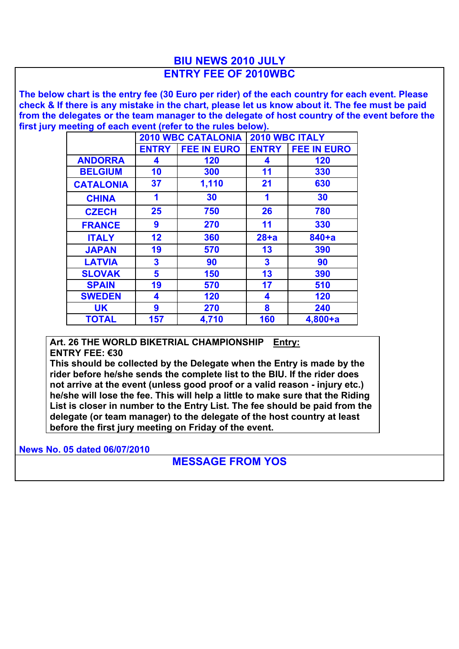## **BIU NEWS 2010 JULY ENTRY FEE OF 2010WBC**

**The below chart is the entry fee (30 Euro per rider) of the each country for each event. Please check & If there is any mistake in the chart, please let us know about it. The fee must be paid from the delegates or the team manager to the delegate of host country of the event before the first jury meeting of each event (refer to the rules below).**

|                  | <b>2010 WBC CATALONIA</b> |                    | 2010 WBC ITALY          |                    |
|------------------|---------------------------|--------------------|-------------------------|--------------------|
|                  | <b>ENTRY</b>              | <b>FEE IN EURO</b> | <b>ENTRY</b>            | <b>FEE IN EURO</b> |
| <b>ANDORRA</b>   | 4                         | 120                | 4                       | 120                |
| <b>BELGIUM</b>   | 10                        | 300                | 11                      | 330                |
| <b>CATALONIA</b> | 37                        | 1,110              | 21                      | 630                |
| <b>CHINA</b>     | 1                         | 30                 | 1                       | 30                 |
| <b>CZECH</b>     | 25                        | 750                | 26                      | 780                |
| <b>FRANCE</b>    | 9                         | 270                | 11                      | 330                |
| <b>ITALY</b>     | 12                        | 360                | $28+a$                  | $840 + a$          |
| <b>JAPAN</b>     | 19                        | 570                | 13                      | 390                |
| <b>LATVIA</b>    | $\overline{\mathbf{3}}$   | 90                 | $\overline{\mathbf{3}}$ | 90                 |
| <b>SLOVAK</b>    | 5                         | 150                | 13                      | 390                |
| <b>SPAIN</b>     | 19                        | 570                | 17                      | 510                |
| <b>SWEDEN</b>    | 4                         | 120                | 4                       | 120                |
| <b>UK</b>        | 9                         | 270                | 8                       | 240                |
| <b>TOTAL</b>     | 157                       | 4,710              | 160                     | $4,800+a$          |

**Art. 26 THE WORLD BIKETRIAL CHAMPIONSHIP Entry: ENTRY FEE: €30**

**This should be collected by the Delegate when the Entry is made by the rider before he/she sends the complete list to the BIU. If the rider does not arrive at the event (unless good proof or a valid reason - injury etc.) he/she will lose the fee. This will help a little to make sure that the Riding List is closer in number to the Entry List. The fee should be paid from the delegate (or team manager) to the delegate of the host country at least before the first jury meeting on Friday of the event.**

**News No. 05 dated 06/07/2010**

## **MESSAGE FROM YOS**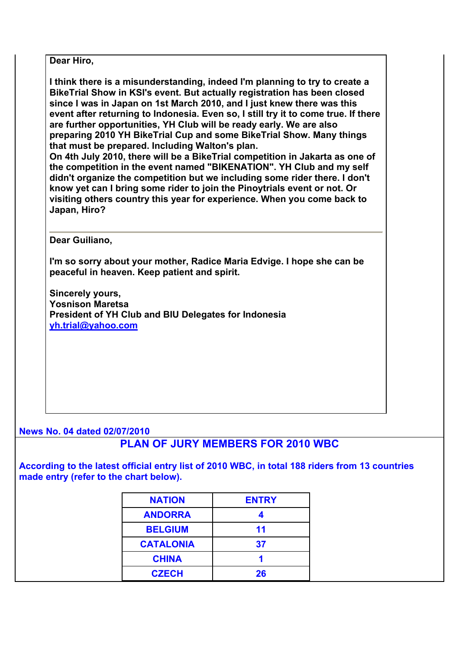**Dear Hiro,** 

**I think there is a misunderstanding, indeed I'm planning to try to create a BikeTrial Show in KSI's event. But actually registration has been closed since I was in Japan on 1st March 2010, and I just knew there was this event after returning to Indonesia. Even so, I still try it to come true. If there are further opportunities, YH Club will be ready early. We are also preparing 2010 YH BikeTrial Cup and some BikeTrial Show. Many things that must be prepared. Including Walton's plan.** 

**On 4th July 2010, there will be a BikeTrial competition in Jakarta as one of the competition in the event named "BIKENATION". YH Club and my self didn't organize the competition but we including some rider there. I don't know yet can I bring some rider to join the Pinoytrials event or not. Or visiting others country this year for experience. When you come back to Japan, Hiro?** 

**Dear Guiliano,** 

**I'm so sorry about your mother, Radice Maria Edvige. I hope she can be peaceful in heaven. Keep patient and spirit.** 

**Sincerely yours, Yosnison Maretsa President of YH Club and BIU Delegates for Indonesia yh.trial@yahoo.com**

## **News No. 04 dated 02/07/2010**

## **PLAN OF JURY MEMBERS FOR 2010 WBC**

**According to the latest official entry list of 2010 WBC, in total 188 riders from 13 countries made entry (refer to the chart below).**

| <b>NATION</b>    | <b>ENTRY</b> |  |
|------------------|--------------|--|
| <b>ANDORRA</b>   |              |  |
| <b>BELGIUM</b>   | 11           |  |
| <b>CATALONIA</b> | 37           |  |
| <b>CHINA</b>     |              |  |
| <b>CZECH</b>     | 26           |  |